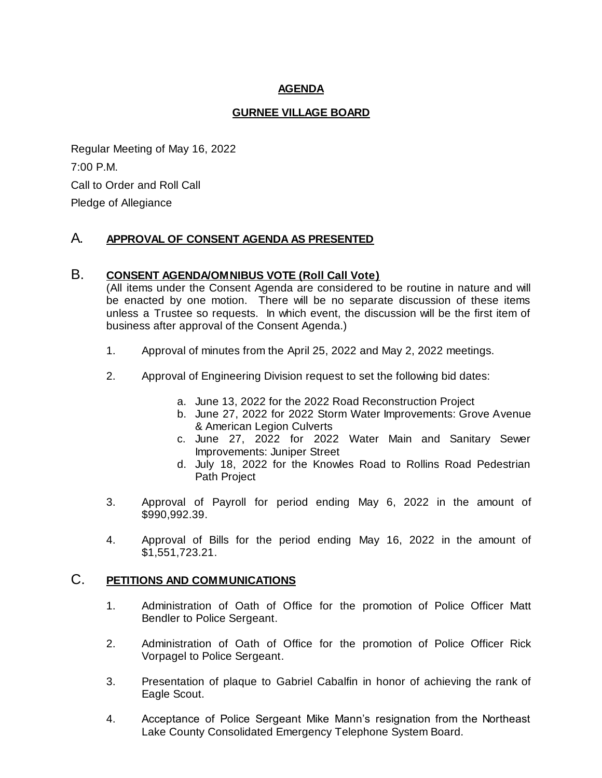## **AGENDA**

#### **GURNEE VILLAGE BOARD**

Regular Meeting of May 16, 2022 7:00 P.M. Call to Order and Roll Call Pledge of Allegiance

# A. **APPROVAL OF CONSENT AGENDA AS PRESENTED**

#### B. **CONSENT AGENDA/OMNIBUS VOTE (Roll Call Vote)**

(All items under the Consent Agenda are considered to be routine in nature and will be enacted by one motion. There will be no separate discussion of these items unless a Trustee so requests. In which event, the discussion will be the first item of business after approval of the Consent Agenda.)

- 1. Approval of minutes from the April 25, 2022 and May 2, 2022 meetings.
- 2. Approval of Engineering Division request to set the following bid dates:
	- a. June 13, 2022 for the 2022 Road Reconstruction Project
	- b. June 27, 2022 for 2022 Storm Water Improvements: Grove Avenue & American Legion Culverts
	- c. June 27, 2022 for 2022 Water Main and Sanitary Sewer Improvements: Juniper Street
	- d. July 18, 2022 for the Knowles Road to Rollins Road Pedestrian Path Project
- 3. Approval of Payroll for period ending May 6, 2022 in the amount of \$990,992.39.
- 4. Approval of Bills for the period ending May 16, 2022 in the amount of \$1,551,723.21.

## C. **PETITIONS AND COMMUNICATIONS**

- 1. Administration of Oath of Office for the promotion of Police Officer Matt Bendler to Police Sergeant.
- 2. Administration of Oath of Office for the promotion of Police Officer Rick Vorpagel to Police Sergeant.
- 3. Presentation of plaque to Gabriel Cabalfin in honor of achieving the rank of Eagle Scout.
- 4. Acceptance of Police Sergeant Mike Mann's resignation from the Northeast Lake County Consolidated Emergency Telephone System Board.